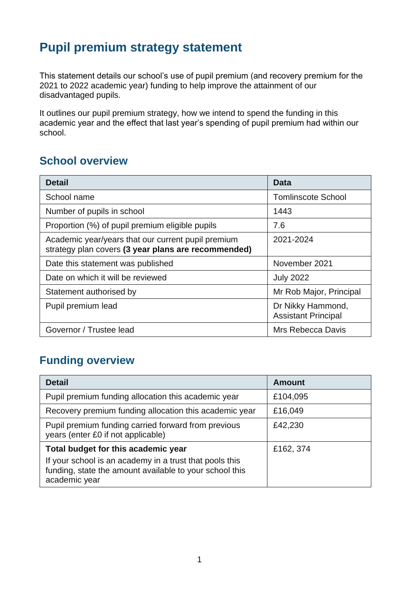# **Pupil premium strategy statement**

This statement details our school's use of pupil premium (and recovery premium for the 2021 to 2022 academic year) funding to help improve the attainment of our disadvantaged pupils.

It outlines our pupil premium strategy, how we intend to spend the funding in this academic year and the effect that last year's spending of pupil premium had within our school.

#### **School overview**

| <b>Detail</b>                                                                                             | Data                                            |  |
|-----------------------------------------------------------------------------------------------------------|-------------------------------------------------|--|
| School name                                                                                               | <b>Tomlinscote School</b>                       |  |
| Number of pupils in school                                                                                | 1443                                            |  |
| Proportion (%) of pupil premium eligible pupils<br>7.6                                                    |                                                 |  |
| Academic year/years that our current pupil premium<br>strategy plan covers (3 year plans are recommended) | 2021-2024                                       |  |
| Date this statement was published                                                                         | November 2021                                   |  |
| Date on which it will be reviewed                                                                         | <b>July 2022</b>                                |  |
| Statement authorised by                                                                                   | Mr Rob Major, Principal                         |  |
| Pupil premium lead                                                                                        | Dr Nikky Hammond,<br><b>Assistant Principal</b> |  |
| Governor / Trustee lead                                                                                   | Mrs Rebecca Davis                               |  |

## **Funding overview**

| <b>Detail</b>                                                                                                                       | <b>Amount</b> |
|-------------------------------------------------------------------------------------------------------------------------------------|---------------|
| Pupil premium funding allocation this academic year                                                                                 | £104,095      |
| Recovery premium funding allocation this academic year<br>£16,049                                                                   |               |
| Pupil premium funding carried forward from previous<br>years (enter £0 if not applicable)                                           | £42,230       |
| Total budget for this academic year                                                                                                 | £162, 374     |
| If your school is an academy in a trust that pools this<br>funding, state the amount available to your school this<br>academic year |               |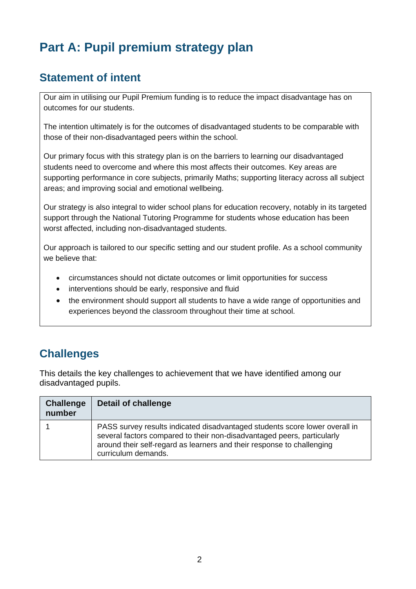# **Part A: Pupil premium strategy plan**

#### **Statement of intent**

Our aim in utilising our Pupil Premium funding is to reduce the impact disadvantage has on outcomes for our students.

The intention ultimately is for the outcomes of disadvantaged students to be comparable with those of their non-disadvantaged peers within the school.

Our primary focus with this strategy plan is on the barriers to learning our disadvantaged students need to overcome and where this most affects their outcomes. Key areas are supporting performance in core subjects, primarily Maths; supporting literacy across all subject areas; and improving social and emotional wellbeing.

Our strategy is also integral to wider school plans for education recovery, notably in its targeted support through the National Tutoring Programme for students whose education has been worst affected, including non-disadvantaged students.

Our approach is tailored to our specific setting and our student profile. As a school community we believe that:

- circumstances should not dictate outcomes or limit opportunities for success
- interventions should be early, responsive and fluid
- the environment should support all students to have a wide range of opportunities and experiences beyond the classroom throughout their time at school.

### **Challenges**

This details the key challenges to achievement that we have identified among our disadvantaged pupils.

| <b>Challenge</b><br>number | <b>Detail of challenge</b>                                                                                                                                                                                                                              |
|----------------------------|---------------------------------------------------------------------------------------------------------------------------------------------------------------------------------------------------------------------------------------------------------|
|                            | PASS survey results indicated disadvantaged students score lower overall in<br>several factors compared to their non-disadvantaged peers, particularly<br>around their self-regard as learners and their response to challenging<br>curriculum demands. |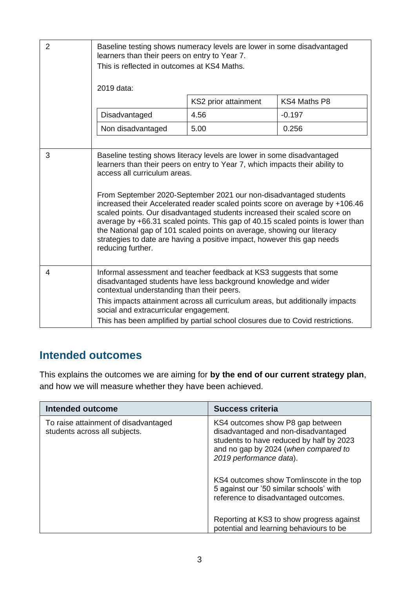| $\overline{2}$ | Baseline testing shows numeracy levels are lower in some disadvantaged<br>learners than their peers on entry to Year 7.<br>This is reflected in outcomes at KS4 Maths.<br>2019 data:<br>KS4 Maths P8<br>KS2 prior attainment                                                                                                                                                                    |                                                                                                                                                                                                                                                                                                                                                                                                                                                                                                                                                       |          |
|----------------|-------------------------------------------------------------------------------------------------------------------------------------------------------------------------------------------------------------------------------------------------------------------------------------------------------------------------------------------------------------------------------------------------|-------------------------------------------------------------------------------------------------------------------------------------------------------------------------------------------------------------------------------------------------------------------------------------------------------------------------------------------------------------------------------------------------------------------------------------------------------------------------------------------------------------------------------------------------------|----------|
|                | Disadvantaged                                                                                                                                                                                                                                                                                                                                                                                   | 4.56                                                                                                                                                                                                                                                                                                                                                                                                                                                                                                                                                  | $-0.197$ |
|                | Non disadvantaged                                                                                                                                                                                                                                                                                                                                                                               | 5.00                                                                                                                                                                                                                                                                                                                                                                                                                                                                                                                                                  | 0.256    |
| 3              | access all curriculum areas.<br>the National gap of 101 scaled points on average, showing our literacy<br>reducing further.                                                                                                                                                                                                                                                                     | Baseline testing shows literacy levels are lower in some disadvantaged<br>learners than their peers on entry to Year 7, which impacts their ability to<br>From September 2020-September 2021 our non-disadvantaged students<br>increased their Accelerated reader scaled points score on average by +106.46<br>scaled points. Our disadvantaged students increased their scaled score on<br>average by +66.31 scaled points. This gap of 40.15 scaled points is lower than<br>strategies to date are having a positive impact, however this gap needs |          |
| 4              | Informal assessment and teacher feedback at KS3 suggests that some<br>disadvantaged students have less background knowledge and wider<br>contextual understanding than their peers.<br>This impacts attainment across all curriculum areas, but additionally impacts<br>social and extracurricular engagement.<br>This has been amplified by partial school closures due to Covid restrictions. |                                                                                                                                                                                                                                                                                                                                                                                                                                                                                                                                                       |          |

#### **Intended outcomes**

This explains the outcomes we are aiming for **by the end of our current strategy plan**, and how we will measure whether they have been achieved.

| Intended outcome                                                      | <b>Success criteria</b>                                                                                                                                                                |
|-----------------------------------------------------------------------|----------------------------------------------------------------------------------------------------------------------------------------------------------------------------------------|
| To raise attainment of disadvantaged<br>students across all subjects. | KS4 outcomes show P8 gap between<br>disadvantaged and non-disadvantaged<br>students to have reduced by half by 2023<br>and no gap by 2024 (when compared to<br>2019 performance data). |
|                                                                       | KS4 outcomes show Tomlinscote in the top<br>5 against our '50 similar schools' with<br>reference to disadvantaged outcomes.                                                            |
|                                                                       | Reporting at KS3 to show progress against<br>potential and learning behaviours to be                                                                                                   |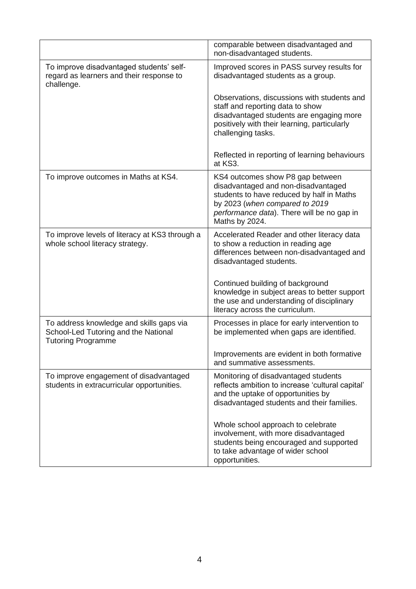|                                                                                                               | comparable between disadvantaged and<br>non-disadvantaged students.                                                                                                                                                    |
|---------------------------------------------------------------------------------------------------------------|------------------------------------------------------------------------------------------------------------------------------------------------------------------------------------------------------------------------|
| To improve disadvantaged students' self-<br>regard as learners and their response to<br>challenge.            | Improved scores in PASS survey results for<br>disadvantaged students as a group.                                                                                                                                       |
|                                                                                                               | Observations, discussions with students and<br>staff and reporting data to show<br>disadvantaged students are engaging more<br>positively with their learning, particularly<br>challenging tasks.                      |
|                                                                                                               | Reflected in reporting of learning behaviours<br>at KS3.                                                                                                                                                               |
| To improve outcomes in Maths at KS4.                                                                          | KS4 outcomes show P8 gap between<br>disadvantaged and non-disadvantaged<br>students to have reduced by half in Maths<br>by 2023 (when compared to 2019<br>performance data). There will be no gap in<br>Maths by 2024. |
| To improve levels of literacy at KS3 through a<br>whole school literacy strategy.                             | Accelerated Reader and other literacy data<br>to show a reduction in reading age<br>differences between non-disadvantaged and<br>disadvantaged students.                                                               |
|                                                                                                               | Continued building of background<br>knowledge in subject areas to better support<br>the use and understanding of disciplinary<br>literacy across the curriculum.                                                       |
| To address knowledge and skills gaps via<br>School-Led Tutoring and the National<br><b>Tutoring Programme</b> | Processes in place for early intervention to<br>be implemented when gaps are identified.                                                                                                                               |
|                                                                                                               | Improvements are evident in both formative<br>and summative assessments.                                                                                                                                               |
| To improve engagement of disadvantaged<br>students in extracurricular opportunities.                          | Monitoring of disadvantaged students<br>reflects ambition to increase 'cultural capital'<br>and the uptake of opportunities by<br>disadvantaged students and their families.                                           |
|                                                                                                               | Whole school approach to celebrate<br>involvement, with more disadvantaged<br>students being encouraged and supported<br>to take advantage of wider school<br>opportunities.                                           |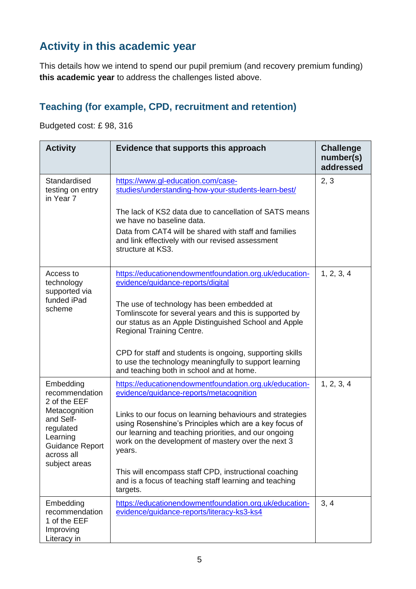### **Activity in this academic year**

This details how we intend to spend our pupil premium (and recovery premium funding) **this academic year** to address the challenges listed above.

#### **Teaching (for example, CPD, recruitment and retention)**

Budgeted cost: £ 98, 316

| <b>Activity</b>                                                                                              | Evidence that supports this approach                                                                                                                                                                                                        | <b>Challenge</b><br>number(s)<br>addressed |
|--------------------------------------------------------------------------------------------------------------|---------------------------------------------------------------------------------------------------------------------------------------------------------------------------------------------------------------------------------------------|--------------------------------------------|
| Standardised<br>testing on entry<br>in Year 7                                                                | https://www.gl-education.com/case-<br>studies/understanding-how-your-students-learn-best/                                                                                                                                                   | 2, 3                                       |
|                                                                                                              | The lack of KS2 data due to cancellation of SATS means<br>we have no baseline data.                                                                                                                                                         |                                            |
|                                                                                                              | Data from CAT4 will be shared with staff and families<br>and link effectively with our revised assessment<br>structure at KS3.                                                                                                              |                                            |
| Access to<br>technology<br>supported via                                                                     | https://educationendowmentfoundation.org.uk/education-<br>evidence/guidance-reports/digital                                                                                                                                                 | 1, 2, 3, 4                                 |
| funded iPad<br>scheme                                                                                        | The use of technology has been embedded at<br>Tomlinscote for several years and this is supported by<br>our status as an Apple Distinguished School and Apple<br><b>Regional Training Centre.</b>                                           |                                            |
|                                                                                                              | CPD for staff and students is ongoing, supporting skills<br>to use the technology meaningfully to support learning<br>and teaching both in school and at home.                                                                              |                                            |
| Embedding<br>recommendation<br>2 of the EEF                                                                  | https://educationendowmentfoundation.org.uk/education-<br>evidence/guidance-reports/metacognition                                                                                                                                           | 1, 2, 3, 4                                 |
| Metacognition<br>and Self-<br>regulated<br>Learning<br><b>Guidance Report</b><br>across all<br>subject areas | Links to our focus on learning behaviours and strategies<br>using Rosenshine's Principles which are a key focus of<br>our learning and teaching priorities, and our ongoing<br>work on the development of mastery over the next 3<br>years. |                                            |
|                                                                                                              | This will encompass staff CPD, instructional coaching<br>and is a focus of teaching staff learning and teaching<br>targets.                                                                                                                 |                                            |
| Embedding<br>recommendation<br>1 of the EEF<br>Improving<br>Literacy in                                      | https://educationendowmentfoundation.org.uk/education-<br>evidence/guidance-reports/literacy-ks3-ks4                                                                                                                                        | 3, 4                                       |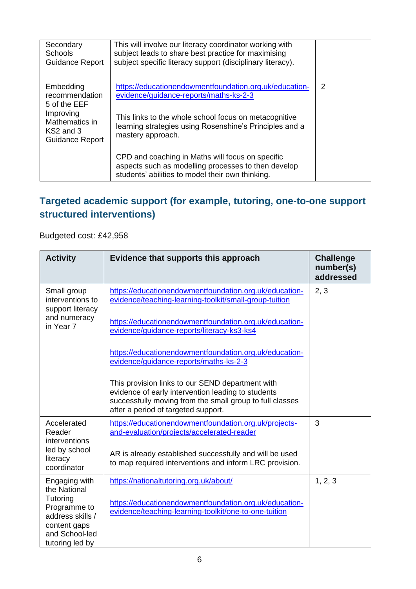| Secondary<br><b>Schools</b><br>Guidance Report                                                                    | This will involve our literacy coordinator working with<br>subject leads to share best practice for maximising<br>subject specific literacy support (disciplinary literacy).                                                              |   |
|-------------------------------------------------------------------------------------------------------------------|-------------------------------------------------------------------------------------------------------------------------------------------------------------------------------------------------------------------------------------------|---|
| Embedding<br>recommendation<br>5 of the EEF<br>Improving<br>Mathematics in<br>KS2 and 3<br><b>Guidance Report</b> | https://educationendowmentfoundation.org.uk/education-<br>evidence/guidance-reports/maths-ks-2-3<br>This links to the whole school focus on metacognitive<br>learning strategies using Rosenshine's Principles and a<br>mastery approach. | 2 |
|                                                                                                                   | CPD and coaching in Maths will focus on specific<br>aspects such as modelling processes to then develop<br>students' abilities to model their own thinking.                                                                               |   |

#### **Targeted academic support (for example, tutoring, one-to-one support structured interventions)**

#### Budgeted cost: £42,958

| <b>Activity</b>                                                                                                                    | Evidence that supports this approach                                                                                                                                       | <b>Challenge</b><br>number(s)<br>addressed |
|------------------------------------------------------------------------------------------------------------------------------------|----------------------------------------------------------------------------------------------------------------------------------------------------------------------------|--------------------------------------------|
| Small group<br>interventions to<br>support literacy<br>and numeracy                                                                | https://educationendowmentfoundation.org.uk/education-<br>evidence/teaching-learning-toolkit/small-group-tuition<br>https://educationendowmentfoundation.org.uk/education- | 2, 3                                       |
| in Year 7                                                                                                                          | evidence/guidance-reports/literacy-ks3-ks4<br>https://educationendowmentfoundation.org.uk/education-                                                                       |                                            |
|                                                                                                                                    | evidence/guidance-reports/maths-ks-2-3<br>This provision links to our SEND department with                                                                                 |                                            |
|                                                                                                                                    | evidence of early intervention leading to students<br>successfully moving from the small group to full classes<br>after a period of targeted support.                      |                                            |
| Accelerated<br>Reader<br>interventions                                                                                             | https://educationendowmentfoundation.org.uk/projects-<br>and-evaluation/projects/accelerated-reader                                                                        | 3                                          |
| led by school<br>literacy<br>coordinator                                                                                           | AR is already established successfully and will be used<br>to map required interventions and inform LRC provision.                                                         |                                            |
| Engaging with<br>the National<br>Tutoring<br>Programme to<br>address skills /<br>content gaps<br>and School-led<br>tutoring led by | https://nationaltutoring.org.uk/about/<br>https://educationendowmentfoundation.org.uk/education-<br>evidence/teaching-learning-toolkit/one-to-one-tuition                  | 1, 2, 3                                    |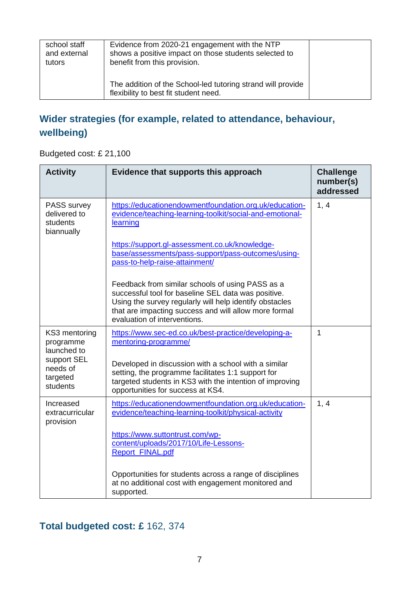| school staff<br>and external<br>tutors | Evidence from 2020-21 engagement with the NTP<br>shows a positive impact on those students selected to<br>benefit from this provision. |  |
|----------------------------------------|----------------------------------------------------------------------------------------------------------------------------------------|--|
|                                        | The addition of the School-led tutoring strand will provide<br>flexibility to best fit student need.                                   |  |

#### **Wider strategies (for example, related to attendance, behaviour, wellbeing)**

Budgeted cost: £ 21,100

| <b>Activity</b>                                              | Evidence that supports this approach                                                                                                                                                                                                                        | <b>Challenge</b><br>number(s)<br>addressed |
|--------------------------------------------------------------|-------------------------------------------------------------------------------------------------------------------------------------------------------------------------------------------------------------------------------------------------------------|--------------------------------------------|
| <b>PASS survey</b><br>delivered to<br>students<br>biannually | https://educationendowmentfoundation.org.uk/education-<br>evidence/teaching-learning-toolkit/social-and-emotional-<br>learning                                                                                                                              | 1, 4                                       |
|                                                              | https://support.gl-assessment.co.uk/knowledge-<br>base/assessments/pass-support/pass-outcomes/using-<br>pass-to-help-raise-attainment/                                                                                                                      |                                            |
|                                                              | Feedback from similar schools of using PASS as a<br>successful tool for baseline SEL data was positive.<br>Using the survey regularly will help identify obstacles<br>that are impacting success and will allow more formal<br>evaluation of interventions. |                                            |
| KS3 mentoring<br>programme<br>launched to                    | https://www.sec-ed.co.uk/best-practice/developing-a-<br>mentoring-programme/                                                                                                                                                                                | 1                                          |
| support SEL<br>needs of<br>targeted<br>students              | Developed in discussion with a school with a similar<br>setting, the programme facilitates 1:1 support for<br>targeted students in KS3 with the intention of improving<br>opportunities for success at KS4.                                                 |                                            |
| Increased<br>extracurricular<br>provision                    | https://educationendowmentfoundation.org.uk/education-<br>evidence/teaching-learning-toolkit/physical-activity                                                                                                                                              | 1, 4                                       |
|                                                              | https://www.suttontrust.com/wp-<br>content/uploads/2017/10/Life-Lessons-<br><b>Report FINAL.pdf</b>                                                                                                                                                         |                                            |
|                                                              | Opportunities for students across a range of disciplines<br>at no additional cost with engagement monitored and<br>supported.                                                                                                                               |                                            |

### **Total budgeted cost: £** 162, 374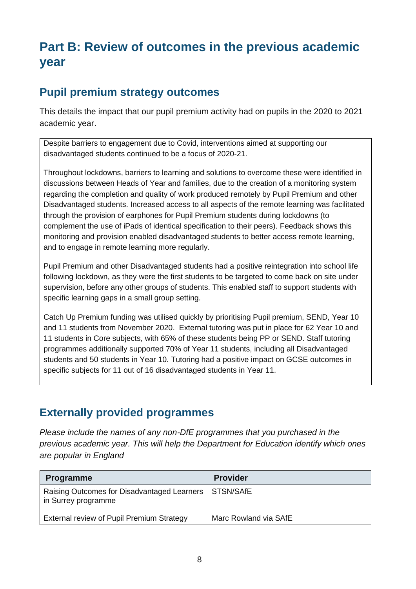# **Part B: Review of outcomes in the previous academic year**

#### **Pupil premium strategy outcomes**

This details the impact that our pupil premium activity had on pupils in the 2020 to 2021 academic year.

Despite barriers to engagement due to Covid, interventions aimed at supporting our disadvantaged students continued to be a focus of 2020-21.

Throughout lockdowns, barriers to learning and solutions to overcome these were identified in discussions between Heads of Year and families, due to the creation of a monitoring system regarding the completion and quality of work produced remotely by Pupil Premium and other Disadvantaged students. Increased access to all aspects of the remote learning was facilitated through the provision of earphones for Pupil Premium students during lockdowns (to complement the use of iPads of identical specification to their peers). Feedback shows this monitoring and provision enabled disadvantaged students to better access remote learning, and to engage in remote learning more regularly.

Pupil Premium and other Disadvantaged students had a positive reintegration into school life following lockdown, as they were the first students to be targeted to come back on site under supervision, before any other groups of students. This enabled staff to support students with specific learning gaps in a small group setting.

Catch Up Premium funding was utilised quickly by prioritising Pupil premium, SEND, Year 10 and 11 students from November 2020. External tutoring was put in place for 62 Year 10 and 11 students in Core subjects, with 65% of these students being PP or SEND. Staff tutoring programmes additionally supported 70% of Year 11 students, including all Disadvantaged students and 50 students in Year 10. Tutoring had a positive impact on GCSE outcomes in specific subjects for 11 out of 16 disadvantaged students in Year 11.

#### **Externally provided programmes**

*Please include the names of any non-DfE programmes that you purchased in the previous academic year. This will help the Department for Education identify which ones are popular in England*

| <b>Programme</b>                                                   | <b>Provider</b>       |
|--------------------------------------------------------------------|-----------------------|
| Raising Outcomes for Disadvantaged Learners<br>in Surrey programme | <b>STSN/SAfE</b>      |
| External review of Pupil Premium Strategy                          | Marc Rowland via SAfE |